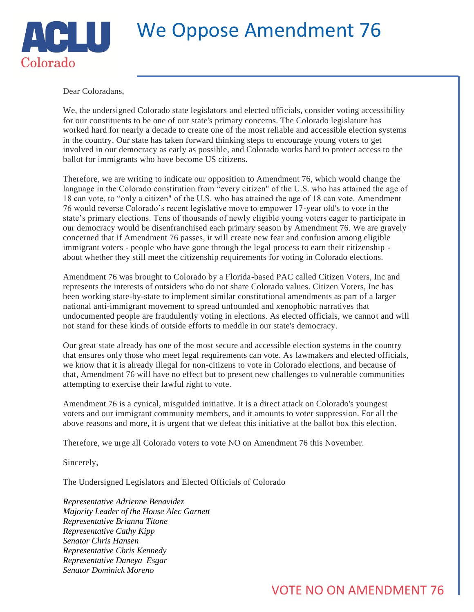## We Oppose Amendment 76

Dear Coloradans,

Colorado

We, the undersigned Colorado state legislators and elected officials, consider voting accessibility for our constituents to be one of our state's primary concerns. The Colorado legislature has worked hard for nearly a decade to create one of the most reliable and accessible election systems in the country. Our state has taken forward thinking steps to encourage young voters to get involved in our democracy as early as possible, and Colorado works hard to protect access to the ballot for immigrants who have become US citizens.

Therefore, we are writing to indicate our opposition to Amendment 76, which would change the language in the Colorado constitution from "every citizen" of the U.S. who has attained the age of 18 can vote, to "only a citizen" of the U.S. who has attained the age of 18 can vote. Amendment 76 would reverse Colorado's recent legislative move to empower 17-year old's to vote in the state's primary elections. Tens of thousands of newly eligible young voters eager to participate in our democracy would be disenfranchised each primary season by Amendment 76. We are gravely concerned that if Amendment 76 passes, it will create new fear and confusion among eligible immigrant voters - people who have gone through the legal process to earn their citizenship about whether they still meet the citizenship requirements for voting in Colorado elections.

Amendment 76 was brought to Colorado by a Florida-based PAC called Citizen Voters, Inc and represents the interests of outsiders who do not share Colorado values. Citizen Voters, Inc has been working state-by-state to implement similar constitutional amendments as part of a larger national anti-immigrant movement to spread unfounded and xenophobic narratives that undocumented people are fraudulently voting in elections. As elected officials, we cannot and will not stand for these kinds of outside efforts to meddle in our state's democracy.

Our great state already has one of the most secure and accessible election systems in the country that ensures only those who meet legal requirements can vote. As lawmakers and elected officials, we know that it is already illegal for non-citizens to vote in Colorado elections, and because of that, Amendment 76 will have no effect but to present new challenges to vulnerable communities attempting to exercise their lawful right to vote.

Amendment 76 is a cynical, misguided initiative. It is a direct attack on Colorado's youngest voters and our immigrant community members, and it amounts to voter suppression. For all the above reasons and more, it is urgent that we defeat this initiative at the ballot box this election.

Therefore, we urge all Colorado voters to vote NO on Amendment 76 this November.

Sincerely,

The Undersigned Legislators and Elected Officials of Colorado

*Representative Adrienne Benavidez Majority Leader of the House Alec Garnett Representative Brianna Titone Representative Cathy Kipp Senator Chris Hansen Representative Chris Kennedy Representative Daneya Esgar Senator Dominick Moreno*